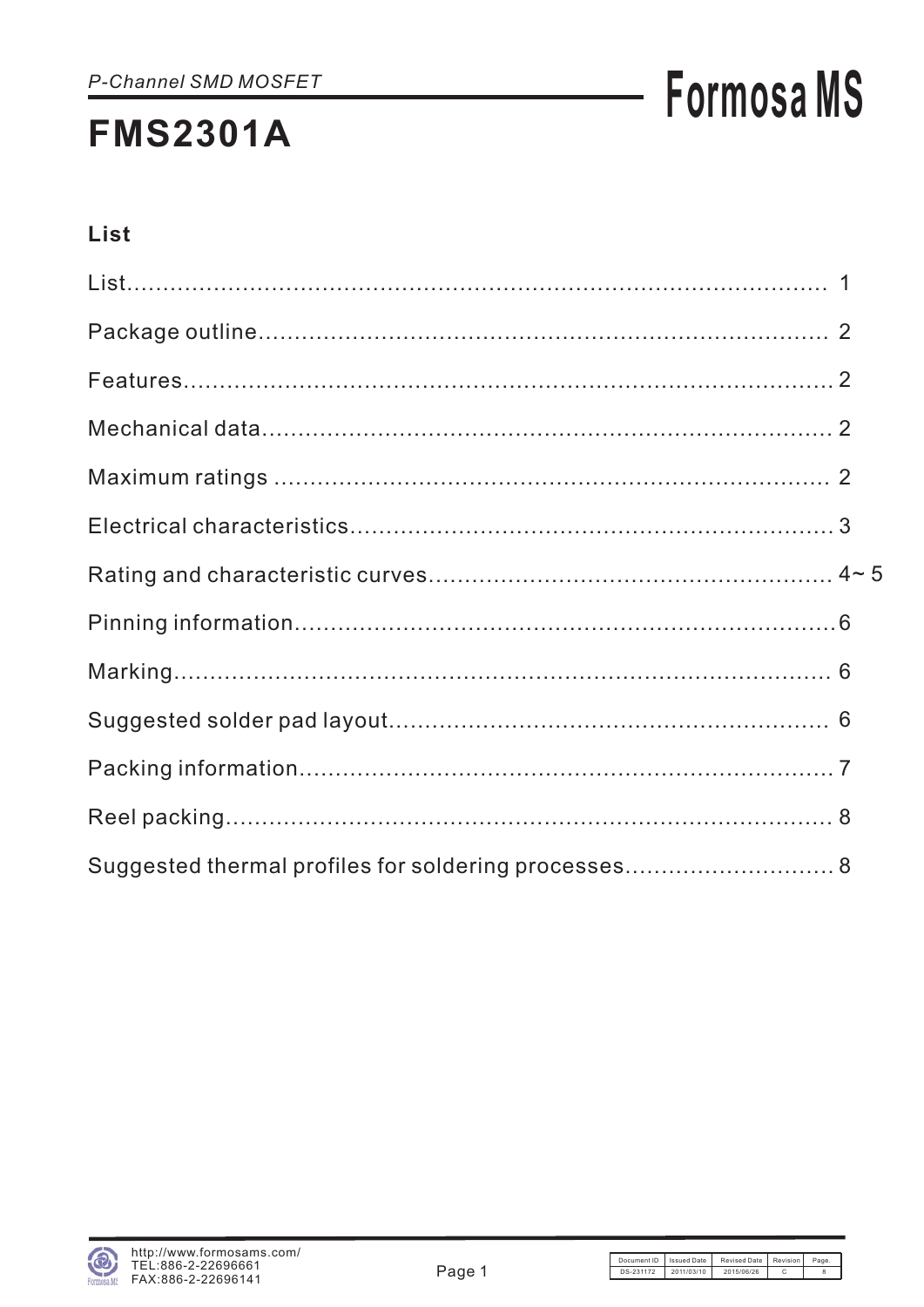# **Formosa MS**

### List

| Suggested thermal profiles for soldering processes 8 |  |
|------------------------------------------------------|--|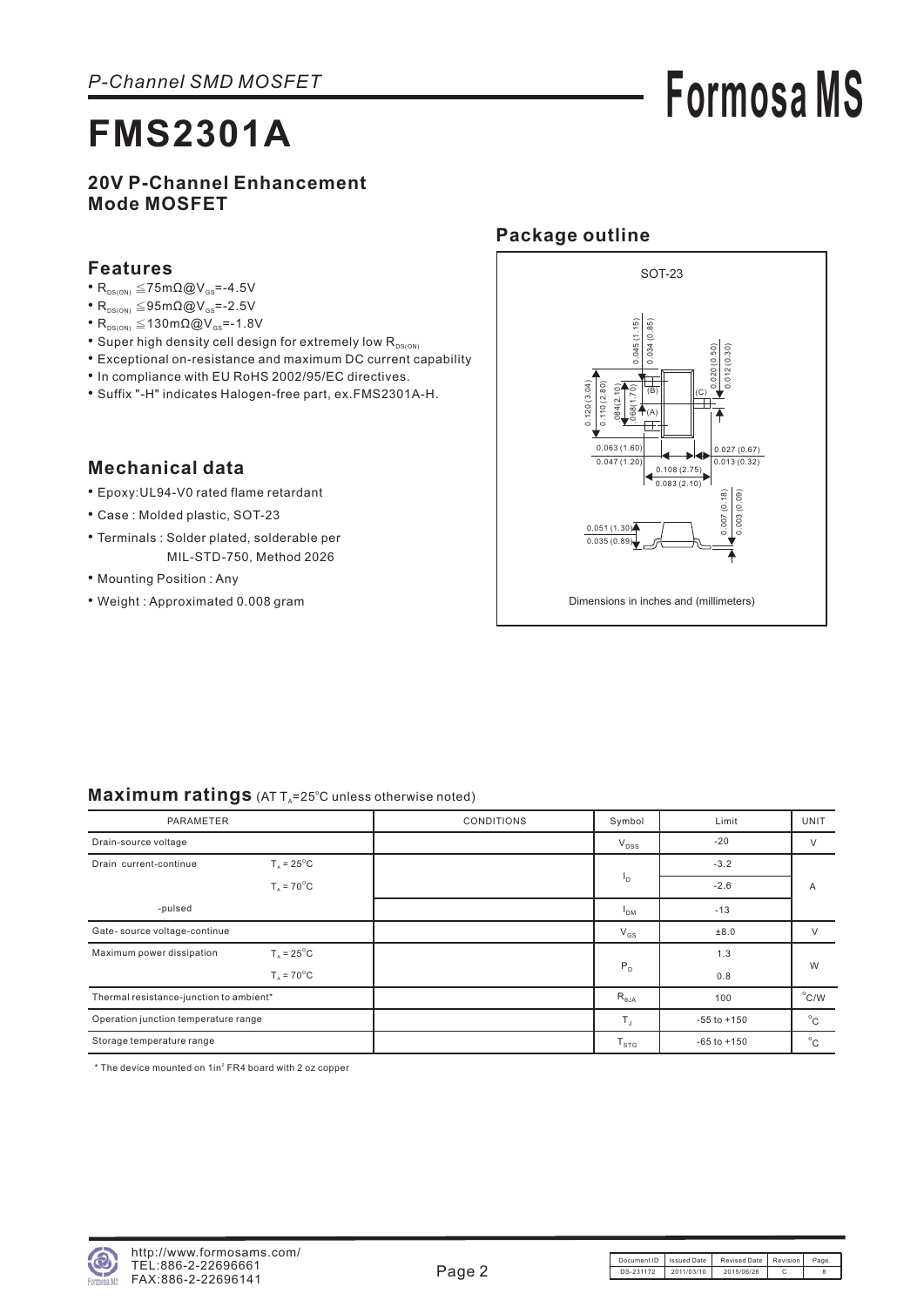# **Formosa MS**

### **20V P-Channel Enhancement Mode MOSFET**

#### **Features**

- $R_{DS(ON)} \leq 75 \text{m}\Omega \textcircled{Q} V_{GS} = -4.5 V$
- $R_{DS(ON)} \leq 95 \text{m}\Omega \textcircled{Q} V_{GS} = -2.5 V$
- $R_{DS(ON)} \leq 130 \text{m}\Omega \textcircled{Q} V_{GS} = -1.8 V$
- Super high density cell design for extremely low R<sub>DS(ON)</sub>
- Exceptional on-resistance and maximum DC current capability
- In compliance with EU RoHS 2002/95/EC directives.
- Suffix "-H" indicates Halogen-free part, ex.FMS2301A-H.

### **Mechanical data**

- Epoxy:UL94-V0 rated flame retardant •
- Case : Molded plastic, SOT-23
- Terminals : Solder plated, solderable per MIL-STD-750, Method 2026
- Mounting Position: Any
- Weight : Approximated 0.008 gram



#### Maximum ratings (AT T<sub>A</sub>=25°C unless otherwise noted)

| PARAMETER                                                    |                      | <b>CONDITIONS</b> | Symbol          | Limit           | <b>UNIT</b>    |  |
|--------------------------------------------------------------|----------------------|-------------------|-----------------|-----------------|----------------|--|
| Drain-source voltage                                         |                      |                   | $V_{DSS}$       | $-20$           | $\vee$         |  |
| $T_{\text{A}}$ = 25 <sup>°</sup> C<br>Drain current-continue |                      |                   |                 | $-3.2$          |                |  |
|                                                              | $T_A = 70^{\circ}$ C |                   | <sup>1</sup> D  | $-2.6$          | A              |  |
| -pulsed                                                      |                      |                   | <sup>1</sup> DM | $-13$           |                |  |
| Gate- source voltage-continue                                |                      |                   | $V_{GS}$        | ±8.0            | V              |  |
| Maximum power dissipation                                    | $T_a = 25^{\circ}$ C |                   |                 | 1.3             |                |  |
|                                                              | $T_a = 70^{\circ}$ C |                   | P <sub>D</sub>  | 0.8             | W              |  |
| Thermal resistance-junction to ambient*                      |                      |                   | $R_{\theta JA}$ | 100             | $^{\circ}$ C/W |  |
| Operation junction temperature range                         |                      |                   | $T_{\rm J}$     | $-55$ to $+150$ | $^{\circ}$ C   |  |
| Storage temperature range                                    |                      |                   | $T_{STG}$       | $-65$ to $+150$ | $^{\circ}$ C   |  |

 $*$  The device mounted on  $1$ in $2$  FR4 board with 2 oz copper

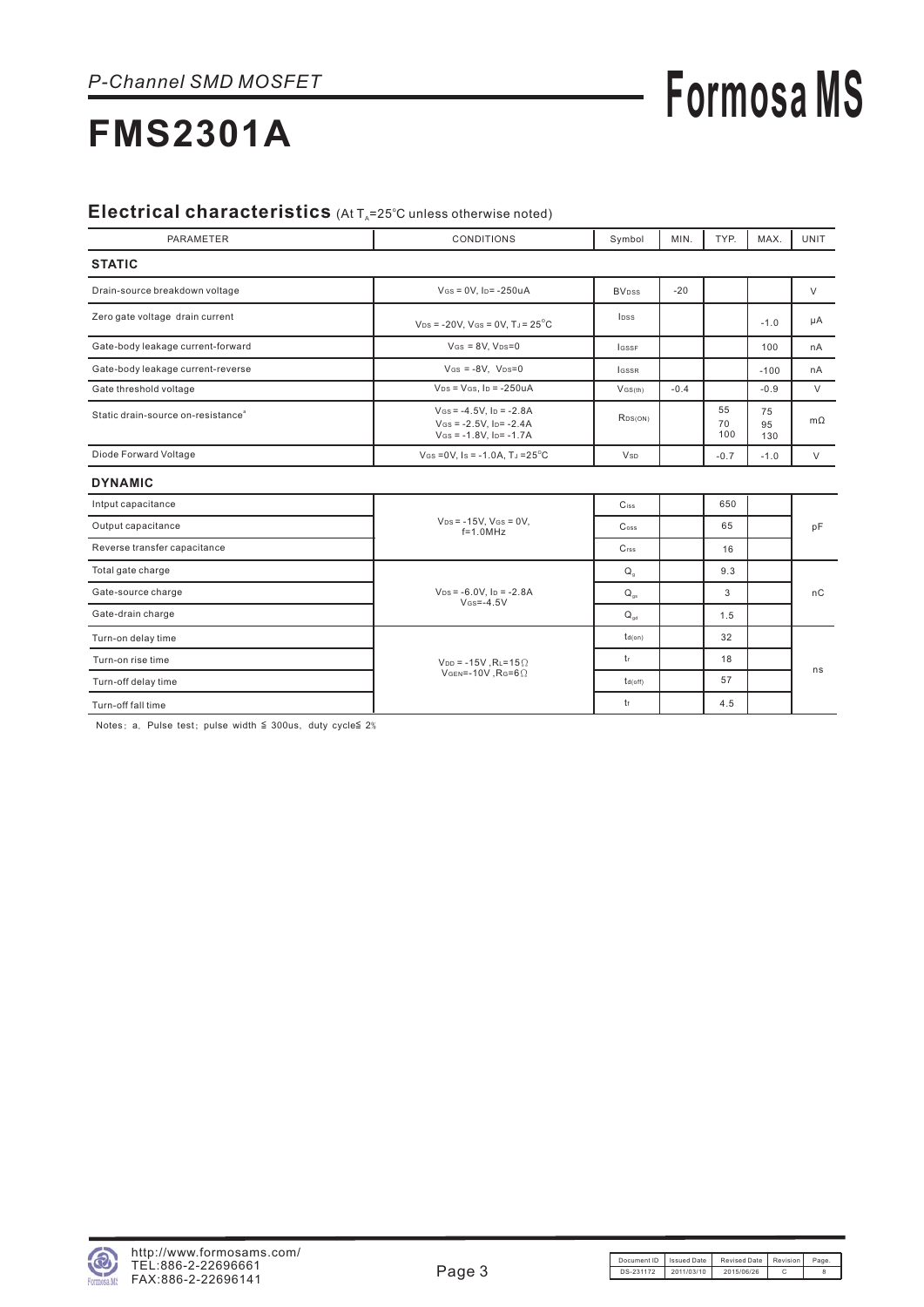# **Formosa MS**

## **FMS2301A**

#### Electrical characteristics (At T<sub>A</sub>=25°C unless otherwise noted)

| PARAMETER                                      | <b>CONDITIONS</b>                                                                       | Symbol                   | MIN.   | TYP.            | MAX.            | <b>UNIT</b> |
|------------------------------------------------|-----------------------------------------------------------------------------------------|--------------------------|--------|-----------------|-----------------|-------------|
| <b>STATIC</b>                                  |                                                                                         |                          |        |                 |                 |             |
| Drain-source breakdown voltage                 | $V$ Gs = 0V, Ip = -250uA                                                                | <b>BV</b> <sub>pss</sub> | $-20$  |                 |                 | $\vee$      |
| Zero gate voltage drain current                | $V_{DS}$ = -20V, V <sub>GS</sub> = 0V, T <sub>J</sub> = 25 <sup>°</sup> C               | lpss                     |        |                 | $-1.0$          | μA          |
| Gate-body leakage current-forward              | $V$ GS = $8V$ , $V$ DS= $0$                                                             | <b>LGSSF</b>             |        |                 | 100             | nA          |
| Gate-body leakage current-reverse              | $V$ GS = -8V, $V$ DS=0                                                                  | <b>IGSSR</b>             |        |                 | $-100$          | nA          |
| Gate threshold voltage                         | $V_{DS} = V_{GS}$ , $I_D = -250uA$                                                      | $V$ GS(th)               | $-0.4$ |                 | $-0.9$          | $\vee$      |
| Static drain-source on-resistance <sup>®</sup> | $V$ Gs = -4.5V, $I_D$ = -2.8A<br>$V$ Gs = -2.5V. Ip= -2.4A<br>$V$ Gs = -1.8V. Ip= -1.7A | RDS(ON)                  |        | 55<br>70<br>100 | 75<br>95<br>130 | $m\Omega$   |
| Diode Forward Voltage                          | $V$ Gs = 0V, Is = -1.0A, TJ = $25^{\circ}$ C                                            | <b>V</b> sp              |        | $-0.7$          | $-1.0$          | $\vee$      |
| <b>DYNAMIC</b>                                 |                                                                                         |                          |        |                 |                 |             |
| Intput capacitance                             |                                                                                         | Ciss                     |        | 650             |                 |             |
| Output capacitance                             | $V_{DS} = -15V$ , $V_{GS} = 0V$ ,<br>$f=1.0$ MHz                                        | $\mathsf{C}$ oss         |        | 65              |                 | pF          |
| Reverse transfer capacitance                   |                                                                                         | C <sub>rss</sub>         |        | 16              |                 |             |
| Total gate charge                              |                                                                                         | $Q_{\rm q}$              |        | 9.3             |                 |             |
| Gate-source charge                             | $V_{DS} = -6.0V$ , $I_D = -2.8A$<br>$V$ <sub>GS</sub> =-4.5V                            | $Q_{as}$                 |        | 3               |                 | nC          |
| Gate-drain charge                              |                                                                                         | $Q_{\text{ad}}$          |        | 1.5             |                 |             |
| Turn-on delay time                             |                                                                                         | td(on)                   |        | 32              |                 |             |
| Turn-on rise time                              | $V_{DD}$ = -15V, RL=15 $\Omega$                                                         | tr                       |        | 18              |                 |             |
| Turn-off delay time                            | VGEN=-10V, $R$ G=6 $\Omega$                                                             | td(off)                  |        | 57              |                 | ns          |
| Turn-off fall time                             |                                                                                         | tf                       |        | 4.5             |                 |             |

Notes: a. Pulse test; pulse width  $\leq$  300us, duty cycle  $2\%$ 

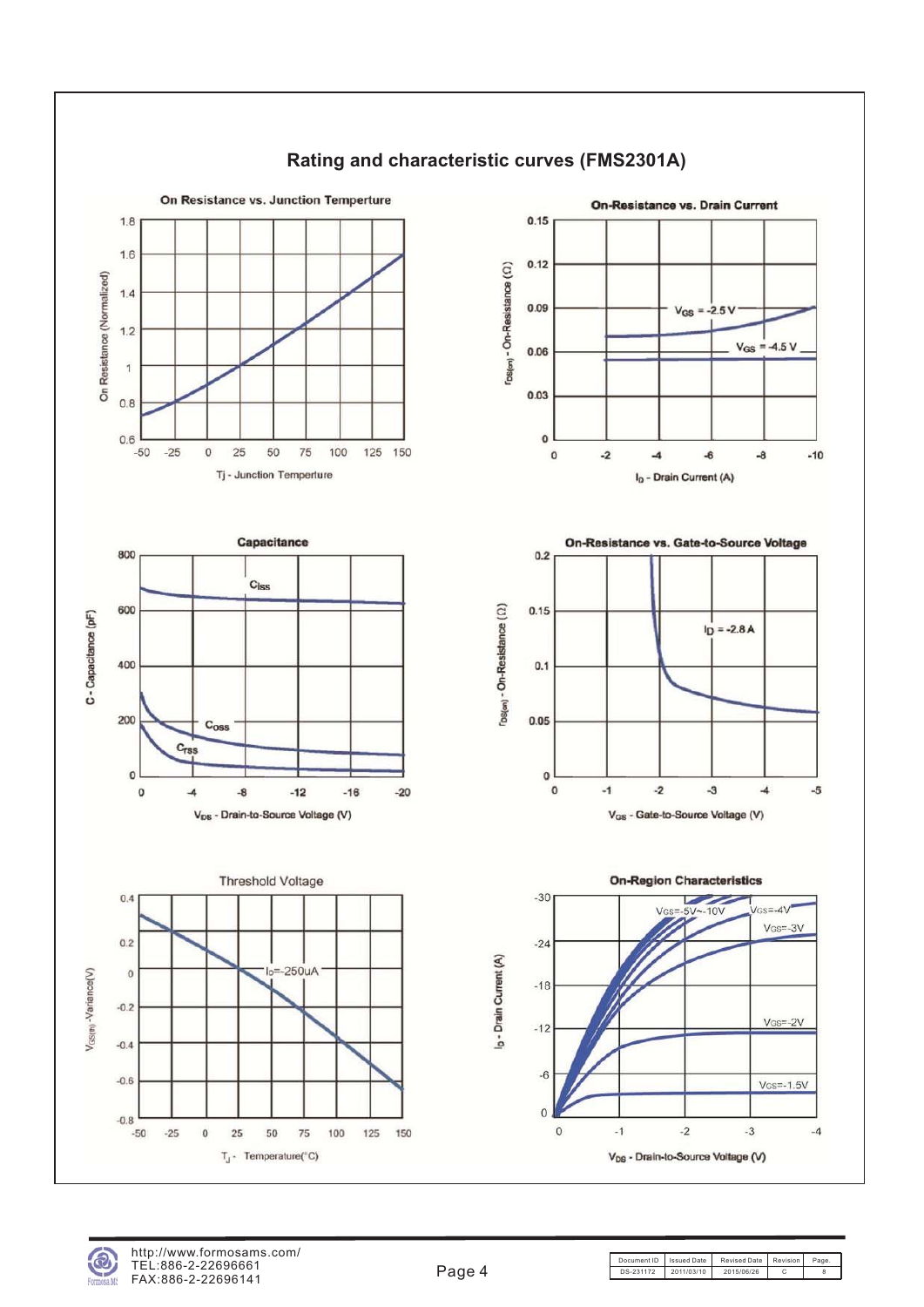



Document ID | Issued Date | Revised Date | Revision | Page DS-231172 2011/03/10 2015/06/26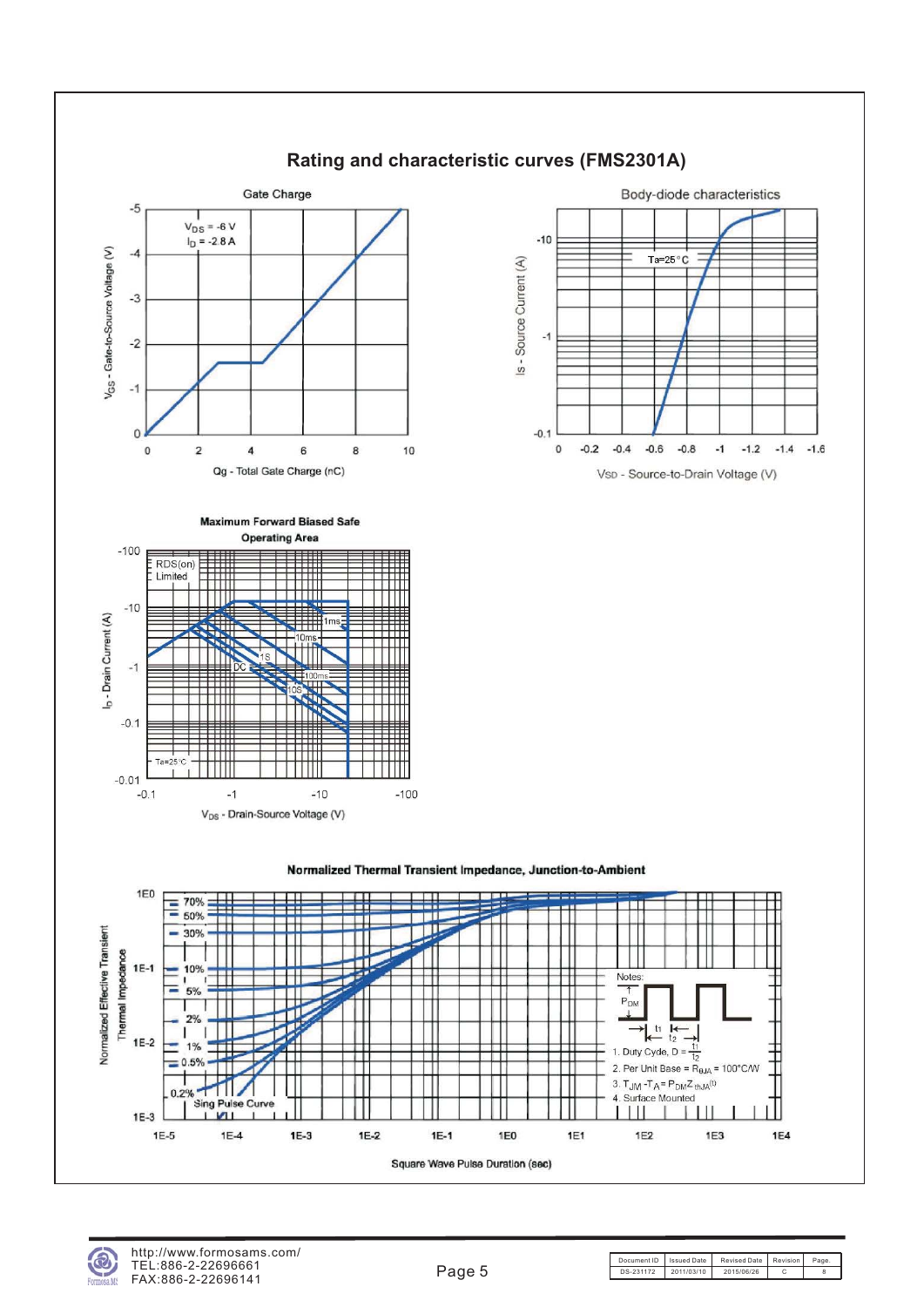

### **Rating and characteristic curves (FMS2301A)**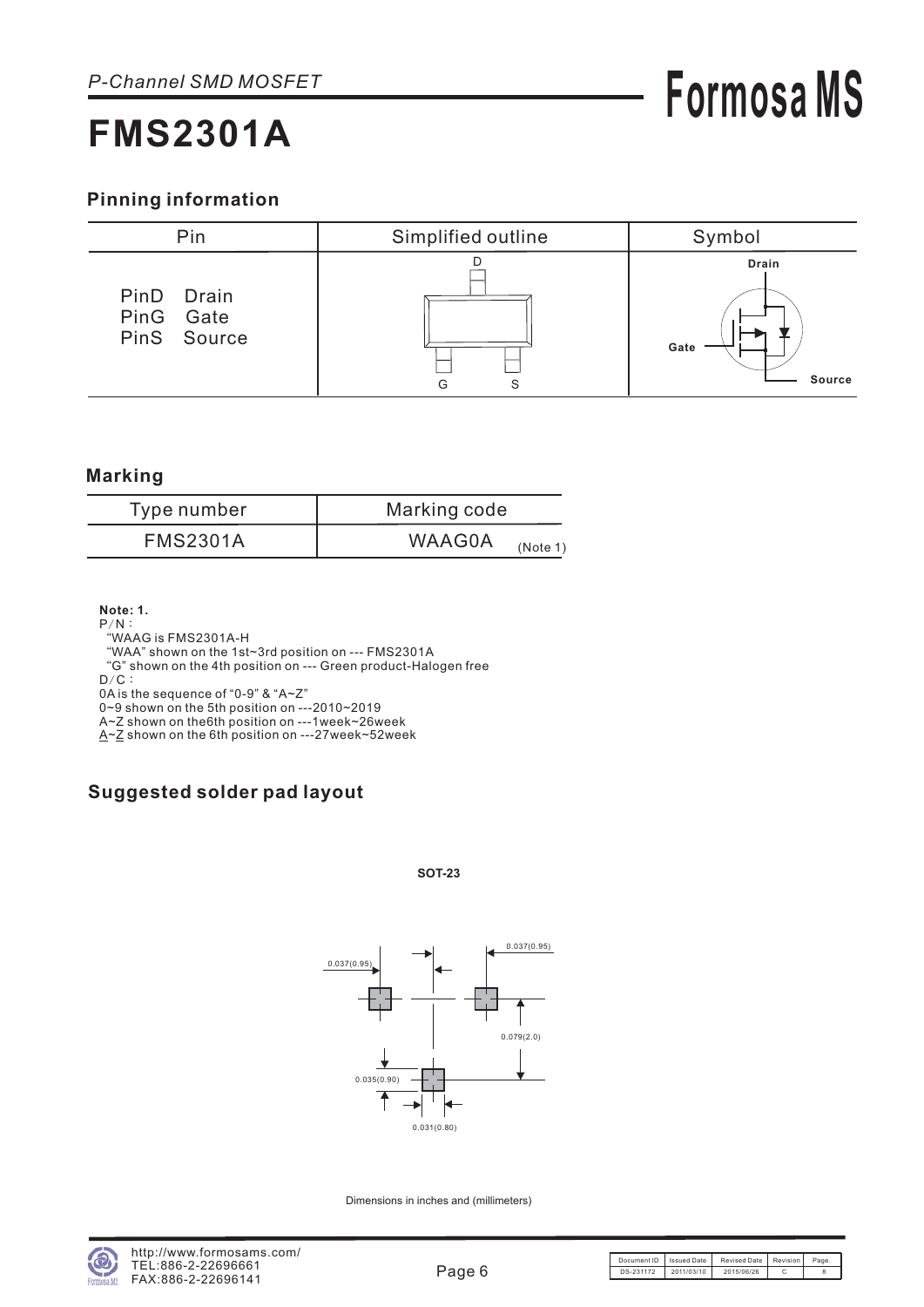### **Pinning information**



#### **Marking**

| Type number     | Marking code              |
|-----------------|---------------------------|
| <b>FMS2301A</b> | <b>WAAG0A</b><br>(Note 1) |

**Note: 1.**

- $P/N$  :
- WAAG is FMS2301A-H "

WAA" shown on the 1st~3rd position on --- FMS2301A "

G" shown on the 4th position on --- Green product-Halogen free "

 $D/C$  :

0A is the sequence of "0-9" & "A~Z"

0~9 shown on the 5th position on ---2010~2019

A~Z shown on the6th position on ---1week~26week

<u>A~Z</u> shown on the 6th position on ---27week~52week

### **Suggested solder pad layout**

#### **SOT-23**



Dimensions in inches and (millimeters)

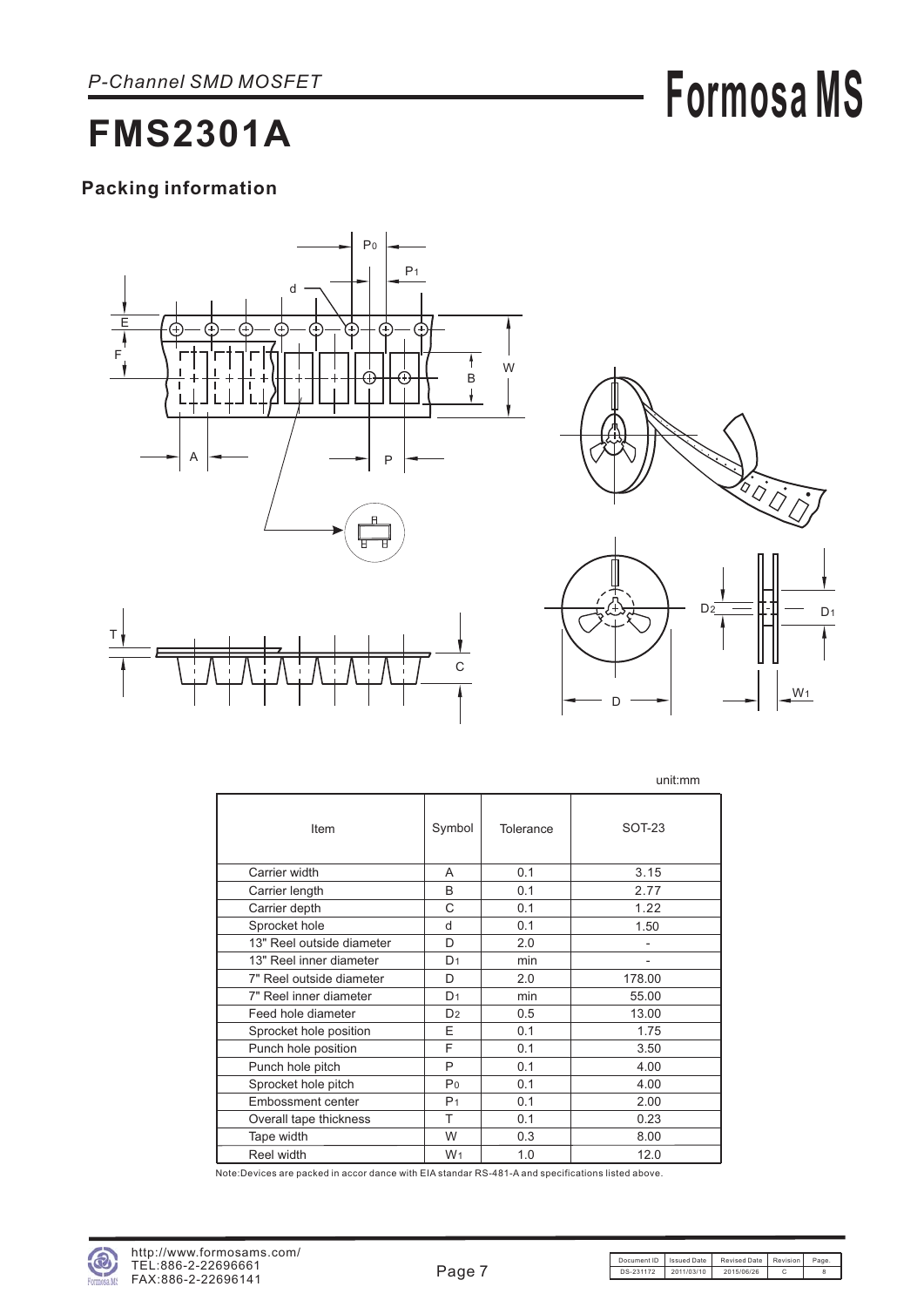# **Formosa MS**

## **FMS2301A**

### **Packing information**





W<sub>1</sub>

D

|                           |                |           | unit:mm                      |
|---------------------------|----------------|-----------|------------------------------|
| Item                      | Symbol         | Tolerance | $SOT-23$                     |
| Carrier width             | A              | 0.1       | 3.15                         |
| Carrier length            | B              | 0.1       | 2.77                         |
| Carrier depth             | C              | 0.1       | 1.22                         |
| Sprocket hole             | d              | 0.1       | 1.50                         |
| 13" Reel outside diameter | D              | 2.0       | $\qquad \qquad \blacksquare$ |
| 13" Reel inner diameter   | D <sub>1</sub> | min       | $\overline{\phantom{0}}$     |
| 7" Reel outside diameter  | D              | 2.0       | 178.00                       |
| 7" Reel inner diameter    | D <sub>1</sub> | min       | 55.00                        |
| Feed hole diameter        | D <sub>2</sub> | 0.5       | 13.00                        |
| Sprocket hole position    | F              | 0.1       | 1.75                         |
| Punch hole position       | F              | 0.1       | 3.50                         |
| Punch hole pitch          | P              | 0.1       | 4.00                         |
| Sprocket hole pitch       | P <sub>0</sub> | 0.1       | 4.00                         |
| Embossment center         | P <sub>1</sub> | 0.1       | 2.00                         |
| Overall tape thickness    | т              | 0.1       | 0.23                         |
| Tape width                | W              | 0.3       | 8.00                         |
| Reel width                | W <sub>1</sub> | 1.0       | 12.0                         |

Note:Devices are packed in accor dance with EIA standar RS-481-A and specifications listed above.